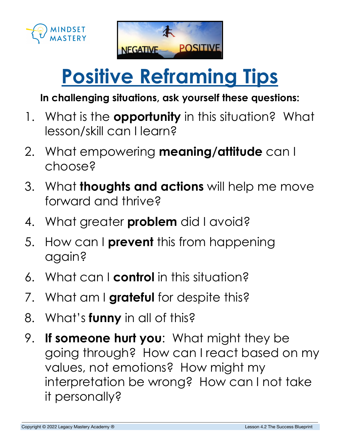



## **Positive Reframing Tips**

## **In challenging situations, ask yourself these questions:**

- 1. What is the **opportunity** in this situation? What lesson/skill can I learn?
- 2. What empowering **meaning/attitude** can I choose?
- 3. What **thoughts and actions** will help me move forward and thrive?
- 4. What greater **problem** did I avoid?
- 5. How can I **prevent** this from happening again?
- 6. What can I **control** in this situation?
- 7. What am I **grateful** for despite this?
- 8. What's **funny** in all of this?
- 9. **If someone hurt you**: What might they be going through? How can I react based on my values, not emotions? How might my interpretation be wrong? How can I not take it personally?